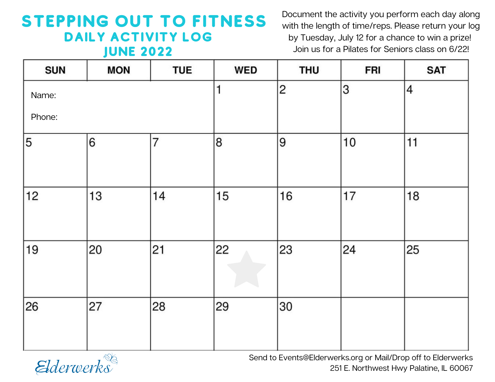## STEPPING OUT TO FITNESS DAILY ACTIVITY LOG June 2022

Document the activity you perform each day along with the length of time/reps. Please return your log by Tuesday, July 12 for a chance to win a prize! Join us for a Pilates for Seniors class on 6/22!

| <b>SUN</b> | <b>MON</b> | <b>TUE</b>     | <b>WED</b>   | <b>THU</b>     | <b>FRI</b> | <b>SAT</b> |
|------------|------------|----------------|--------------|----------------|------------|------------|
| Name:      |            |                | $\mathbf{1}$ | $\overline{2}$ | 3          | 4          |
| Phone:     |            |                |              |                |            |            |
| 5          | 6          | $\overline{7}$ | 8            | 9              | 10         | 11         |
| 12         | 13         | 14             | 15           | 16             | 17         | 18         |
| 19         | 20         | 21             | 22           | 23             | 24         | 25         |
| 26         | 27         | 28             | 29           | 30             |            |            |



Send to Events@Elderwerks.org or Mail/Drop off to Elderwerks 251 E. Northwest Hwy Palatine, IL 60067